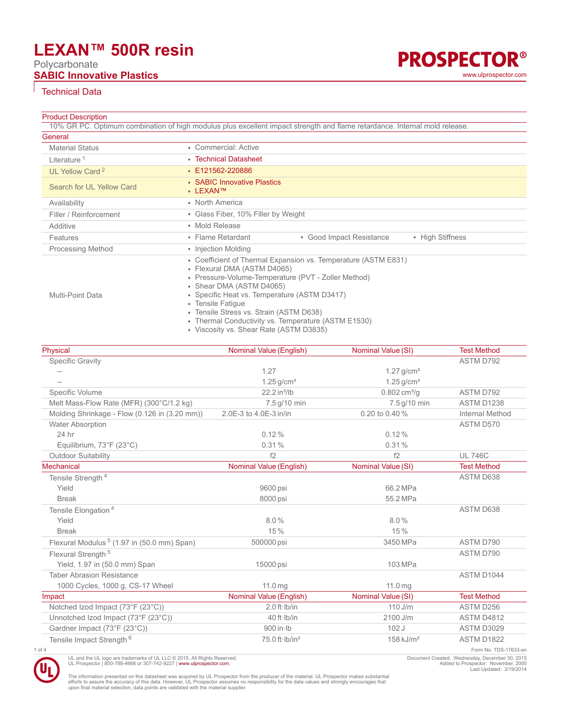## **LEXAN™ 500R resin**

Polycarbonate



#### Technical Data

#### Product Description

|                             | 10% GR PC. Optimum combination of high modulus plus excellent impact strength and flame retardance. Internal mold release.                                                                                                                                                                                                                                                                         |
|-----------------------------|----------------------------------------------------------------------------------------------------------------------------------------------------------------------------------------------------------------------------------------------------------------------------------------------------------------------------------------------------------------------------------------------------|
| General                     |                                                                                                                                                                                                                                                                                                                                                                                                    |
| <b>Material Status</b>      | • Commercial: Active                                                                                                                                                                                                                                                                                                                                                                               |
| Literature <sup>1</sup>     | • Technical Datasheet                                                                                                                                                                                                                                                                                                                                                                              |
| UL Yellow Card <sup>2</sup> | ● E121562-220886                                                                                                                                                                                                                                                                                                                                                                                   |
| Search for UL Yellow Card   | • SABIC Innovative Plastics<br>• LEXAN™                                                                                                                                                                                                                                                                                                                                                            |
| Availability                | • North America                                                                                                                                                                                                                                                                                                                                                                                    |
| Filler / Reinforcement      | • Glass Fiber, 10% Filler by Weight                                                                                                                                                                                                                                                                                                                                                                |
| Additive                    | • Mold Release                                                                                                                                                                                                                                                                                                                                                                                     |
| Features                    | • Good Impact Resistance<br>• High Stiffness<br>• Flame Retardant                                                                                                                                                                                                                                                                                                                                  |
| <b>Processing Method</b>    | • Injection Molding                                                                                                                                                                                                                                                                                                                                                                                |
| Multi-Point Data            | • Coefficient of Thermal Expansion vs. Temperature (ASTM E831)<br>• Flexural DMA (ASTM D4065)<br>• Pressure-Volume-Temperature (PVT - Zoller Method)<br>• Shear DMA (ASTM D4065)<br>• Specific Heat vs. Temperature (ASTM D3417)<br>• Tensile Fatique<br>• Tensile Stress vs. Strain (ASTM D638)<br>• Thermal Conductivity vs. Temperature (ASTM E1530)<br>• Viscosity vs. Shear Rate (ASTM D3835) |

| Physical                                               | Nominal Value (English)    | Nominal Value (SI)            | <b>Test Method</b>    |
|--------------------------------------------------------|----------------------------|-------------------------------|-----------------------|
| <b>Specific Gravity</b>                                |                            |                               | ASTM D792             |
|                                                        | 1.27                       | $1.27$ g/cm <sup>3</sup>      |                       |
|                                                        | $1.25$ g/cm <sup>3</sup>   | $1.25$ g/cm <sup>3</sup>      |                       |
| Specific Volume                                        | 22.2 in <sup>3</sup> /lb   | $0.802 \text{ cm}^3/\text{q}$ | ASTM D792             |
| Melt Mass-Flow Rate (MFR) (300°C/1.2 kg)               | 7.5 g/10 min               | 7.5 g/10 min                  | ASTM D1238            |
| Molding Shrinkage - Flow (0.126 in (3.20 mm))          | 2.0E-3 to 4.0E-3 in/in     | 0.20 to 0.40 %                | Internal Method       |
| Water Absorption                                       |                            |                               | ASTM D570             |
| 24 hr                                                  | 0.12%                      | 0.12%                         |                       |
| Equilibrium, 73°F (23°C)                               | 0.31%                      | 0.31%                         |                       |
| <b>Outdoor Suitability</b>                             | f2                         | f2                            | <b>UL 746C</b>        |
| Mechanical                                             | Nominal Value (English)    | Nominal Value (SI)            | <b>Test Method</b>    |
| Tensile Strength <sup>4</sup>                          |                            |                               | ASTM D638             |
| Yield                                                  | 9600 psi                   | 66.2 MPa                      |                       |
| <b>Break</b>                                           | 8000 psi                   | 55.2 MPa                      |                       |
| Tensile Elongation <sup>4</sup>                        |                            |                               | ASTM D638             |
| Yield                                                  | 8.0%                       | 8.0%                          |                       |
| <b>Break</b>                                           | 15%                        | 15%                           |                       |
| Flexural Modulus <sup>5</sup> (1.97 in (50.0 mm) Span) | 500000 psi                 | 3450 MPa                      | ASTM D790             |
| Flexural Strength <sup>5</sup>                         |                            |                               | ASTM D790             |
| Yield, 1.97 in (50.0 mm) Span                          | 15000 psi                  | 103 MPa                       |                       |
| <b>Taber Abrasion Resistance</b>                       |                            |                               | ASTM D1044            |
| 1000 Cycles, 1000 g, CS-17 Wheel                       | 11.0 <sub>mg</sub>         | 11.0 <sub>mg</sub>            |                       |
| Impact                                                 | Nominal Value (English)    | Nominal Value (SI)            | <b>Test Method</b>    |
| Notched Izod Impact (73°F (23°C))                      | $2.0$ ft $\cdot$ Ib/in     | $110$ J/m                     | ASTM D256             |
| Unnotched Izod Impact (73°F (23°C))                    | 40 ft - Ib/in              | 2100 J/m                      | ASTM D4812            |
| Gardner Impact (73°F (23°C))                           | $900$ in $\cdot$ lb        | 102J                          | ASTM D3029            |
| Tensile Impact Strength <sup>6</sup>                   | 75.0 ft·lb/in <sup>2</sup> | $158$ kJ/m <sup>2</sup>       | ASTM D1822            |
| 1 of 4                                                 |                            |                               | Form No. TDS-17633-en |



UL and the UL logo are trademarks of UL LLC © 2015. All Rights Reserved.<br>UL Prospector | 800-788-4668 or 307-742-9227 | [www.ulprospector.com](http://www.ulprospector.com).

Document Created: Wednesday, December 30, 2015 Added to Prospector: November, 2000 Last Updated: 3/19/2014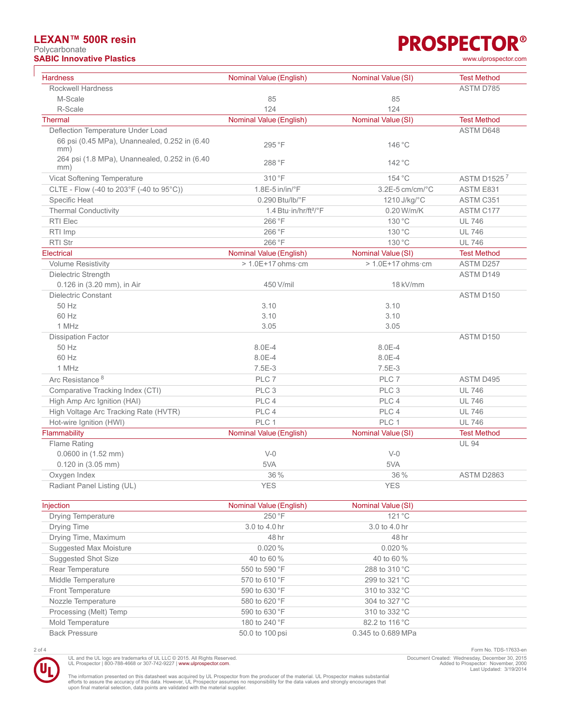### **LEXAN™ 500R resin**

Polycarbonate **SABIC Innovative Plastics** [www.ulprospector.com](http://www.ulprospector.com)

| <b>Hardness</b>                                      | Nominal Value (English)                             | Nominal Value (SI)    | <b>Test Method</b> |
|------------------------------------------------------|-----------------------------------------------------|-----------------------|--------------------|
| <b>Rockwell Hardness</b>                             |                                                     |                       | ASTM D785          |
| M-Scale                                              | 85                                                  | 85                    |                    |
| R-Scale                                              | 124                                                 | 124                   |                    |
| <b>Thermal</b>                                       | Nominal Value (English)                             | Nominal Value (SI)    | <b>Test Method</b> |
| Deflection Temperature Under Load                    |                                                     |                       | ASTM D648          |
| 66 psi (0.45 MPa), Unannealed, 0.252 in (6.40<br>mm) | 295 °F                                              | 146 °C                |                    |
| 264 psi (1.8 MPa), Unannealed, 0.252 in (6.40<br>mm) | 288 °F                                              | 142 °C                |                    |
| Vicat Softening Temperature                          | 310 °F                                              | 154 °C                | ASTM D15257        |
| CLTE - Flow (-40 to 203°F (-40 to 95°C))             | $1.8E-5$ in/in/ $\degree$ F                         | $3.2E-5$ cm/cm/ $°C$  | ASTM E831          |
| Specific Heat                                        | $0.290$ Btu/lb/ $\degree$ F                         | 1210 J/kg/°C          | ASTM C351          |
| <b>Thermal Conductivity</b>                          | 1.4 Btu $\cdot$ in/hr/ft <sup>2</sup> / $\degree$ F | 0.20 W/m/K            | ASTM C177          |
| RTI Elec                                             | 266 °F                                              | 130 °C                | <b>UL 746</b>      |
| RTI Imp                                              | 266 °F                                              | 130 °C                | <b>UL 746</b>      |
| <b>RTI Str</b>                                       | 266 °F                                              | 130 °C                | <b>UL 746</b>      |
| Electrical                                           | Nominal Value (English)                             | Nominal Value (SI)    | <b>Test Method</b> |
| <b>Volume Resistivity</b>                            | $> 1.0E+17$ ohms $cm$                               | $> 1.0E+17$ ohms $cm$ | ASTM D257          |
| Dielectric Strength                                  |                                                     |                       | ASTM D149          |
| 0.126 in (3.20 mm), in Air                           | 450 V/mil                                           | 18 kV/mm              |                    |
| <b>Dielectric Constant</b>                           |                                                     |                       | ASTM D150          |
| 50 Hz                                                | 3.10                                                | 3.10                  |                    |
| 60 Hz                                                | 3.10                                                | 3.10                  |                    |
| 1 MHz                                                | 3.05                                                | 3.05                  |                    |
| <b>Dissipation Factor</b>                            |                                                     |                       | ASTM D150          |
| 50 Hz                                                | 8.0E-4                                              | 8.0E-4                |                    |
| 60 Hz                                                | 8.0E-4                                              | 8.0E-4                |                    |
| 1 MHz                                                | $7.5E-3$                                            | 7.5E-3                |                    |
| Arc Resistance <sup>8</sup>                          | PLC 7                                               | PLC <sub>7</sub>      | ASTM D495          |
| Comparative Tracking Index (CTI)                     | PLC <sub>3</sub>                                    | PLC <sub>3</sub>      | <b>UL 746</b>      |
| High Amp Arc Ignition (HAI)                          | PLC 4                                               | PLC 4                 | <b>UL 746</b>      |
| High Voltage Arc Tracking Rate (HVTR)                | PLC 4                                               | PLC 4                 | <b>UL 746</b>      |
| Hot-wire Ignition (HWI)                              | PLC 1                                               | PLC 1                 | <b>UL 746</b>      |
| Flammability                                         | Nominal Value (English)                             | Nominal Value (SI)    | <b>Test Method</b> |
| Flame Rating                                         |                                                     |                       | <b>UL 94</b>       |
| 0.0600 in (1.52 mm)                                  | $V-0$                                               | $V-0$                 |                    |
| 0.120 in (3.05 mm)                                   | 5VA                                                 | 5VA                   |                    |
| Oxygen Index                                         | 36 %                                                | 36 %                  | ASTM D2863         |
| Radiant Panel Listing (UL)                           | <b>YES</b>                                          | <b>YES</b>            |                    |

| Injection                 | Nominal Value (English) | Nominal Value (SI) |  |
|---------------------------|-------------------------|--------------------|--|
| <b>Drying Temperature</b> | 250 °F                  | $121^{\circ}$ C    |  |
| Drying Time               | 3.0 to 4.0 hr           | 3.0 to 4.0 hr      |  |
| Drying Time, Maximum      | 48 hr                   | 48 hr              |  |
| Suggested Max Moisture    | 0.020%                  | 0.020%             |  |
| Suggested Shot Size       | 40 to 60 %              | 40 to 60 %         |  |
| Rear Temperature          | 550 to 590 °F           | 288 to 310 °C      |  |
| Middle Temperature        | 570 to 610 °F           | 299 to 321 °C      |  |
| <b>Front Temperature</b>  | 590 to 630 °F           | 310 to 332 °C      |  |
| Nozzle Temperature        | 580 to 620 °F           | 304 to 327 °C      |  |
| Processing (Melt) Temp    | 590 to 630 °F           | 310 to 332 °C      |  |
| Mold Temperature          | 180 to 240 °F           | 82.2 to 116 °C     |  |
| <b>Back Pressure</b>      | 50.0 to 100 psi         | 0.345 to 0.689 MPa |  |

UL and the UL logo are trademarks of UL LLC © 2015. All Rights Reserved.<br>UL Prospector | 800-788-4668 or 307-742-9227 | [www.ulprospector.com](http://www.ulprospector.com).

2 of 4 Form No. TDS-17633-en Document Created: Wednesday, December 30, 2015 Added to Prospector: November, 2000 Last Updated: 3/19/2014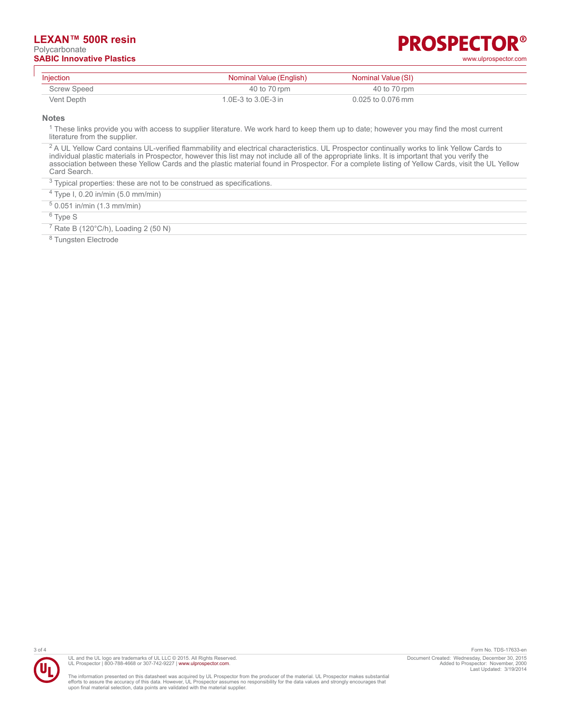#### **LEXAN™ 500R resin** Polycarbonate **SABIC Innovative Plastics** [www.ulprospector.com](http://www.ulprospector.com)

# **PROSPECTOR®**

| Injection   | Nominal Value (English) | Nominal Value (SI) |  |
|-------------|-------------------------|--------------------|--|
| Screw Speed | 40 to 70 rpm            | 40 to 70 rpm       |  |
| Vent Depth  | 1.0E-3 to $3.0E-3$ in   | 0.025 to 0.076 mm  |  |

**Notes**

<sup>1</sup> These links provide you with access to supplier literature. We work hard to keep them up to date; however you may find the most current literature from the supplier.

<sup>2</sup> A UL Yellow Card contains UL-verified flammability and electrical characteristics. UL Prospector continually works to link Yellow Cards to individual plastic materials in Prospector, however this list may not include all of the appropriate links. It is important that you verify the association between these Yellow Cards and the plastic material found in Prospector. For a complete listing of Yellow Cards, visit the UL Yellow Card Search.

 $3$  Typical properties: these are not to be construed as specifications.

4 Type I, 0.20 in/min (5.0 mm/min)

5 0.051 in/min (1.3 mm/min)

<sup>6</sup> Type S

 $7$  Rate B (120 $^{\circ}$ C/h), Loading 2 (50 N)

<sup>8</sup> Tungsten Electrode



UL and the UL logo are trademarks of UL LLC © 2015. All Rights Reserved. UL Prospector | 800-788-4668 or 307-742-9227 | [www.ulprospector.com](http://www.ulprospector.com).